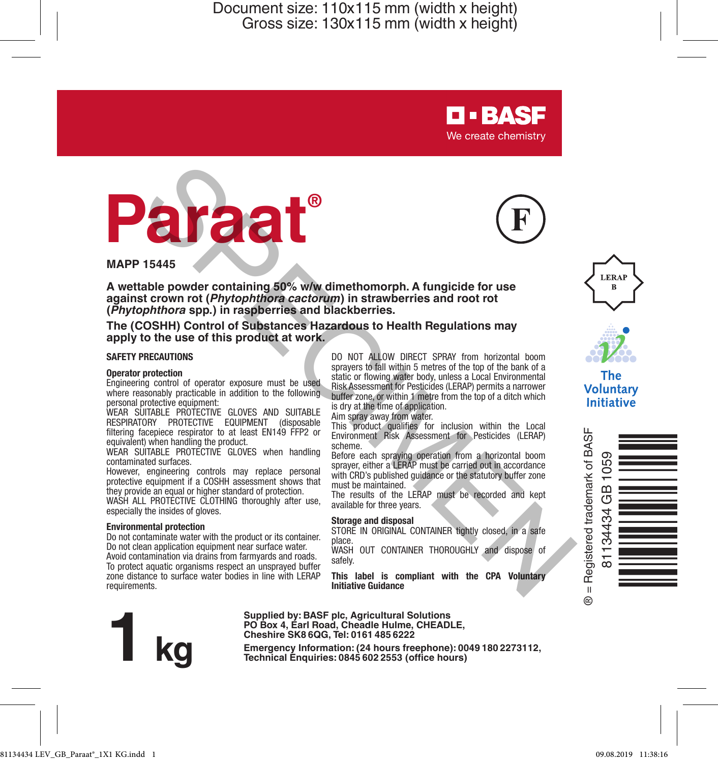

**MAPP 15445**

**A wettable powder containing 50% w/w dimethomorph. A fungicide for use against crown rot (***Phytophthora cactorum***) in strawberries and root rot (***Phytophthora* **spp.) in raspberries and blackberries.**

**The (COSHH) Control of Substances Hazardous to Health Regulations may**  apply to the use of this product at work.

#### **SAFETY PRECAUTIONS**

#### **Operator protection**

Engineering control of operator exposure must be used where reasonably practicable in addition to the following personal protective equipment:

WEAR SUITABLE PROTECTIVE GLOVES AND SUITABLE RESPIRATORY PROTECTIVE EQUIPMENT (disposable filtering facepiece respirator to at least EN149 FFP2 or equivalent) when handling the product.

WEAR SUITABLE PROTECTIVE GLOVES when handling contaminated surfaces.

However, engineering controls may replace personal protective equipment if a COSHH assessment shows that they provide an equal or higher standard of protection.

WASH ALL PROTECTIVE CLOTHING thoroughly after use. especially the insides of gloves.

#### **Environmental protection**

Do not contaminate water with the product or its container. Do not clean application equipment near surface water. Avoid contamination via drains from farmyards and roads. To protect aquatic organisms respect an unsprayed buffer zone distance to surface water bodies in line with LERAP requirements.

DO NOT ALLOW DIRECT SPRAY from horizontal boom sprayers to fall within 5 metres of the top of the bank of a static or flowing water body, unless a Local Environmental Risk Assessment for Pesticides (LERAP) permits a narrower buffer zone, or within 1 metre from the top of a ditch which is dry at the time of application.

**D-BASF** We create chemistry

Aim spray away from water.

This product qualifies for inclusion within the Local Environment Risk Assessment for Pesticides (LERAP) scheme.

Before each spraying operation from a horizontal boom sprayer, either a LERAP must be carried out in accordance with CRD's published quidance or the statutory buffer zone must be maintained.

The results of the LERAP must be recorded and kept available for three years.

#### **Storage and disposal**

STORE IN ORIGINAL CONTAINER tightly closed, in a safe place.

WASH OUT CONTAINER THOROUGHLY and dispose of safely.

**This label is compliant with the CPA Voluntary Initiative Guidance**



Supplied by: BASF plot, Agricultural Solutions<br>PO Box 4, Earl Road, Cheadle Hulme, CHEADLE,<br>Cheshire SK8 6QG, Tel: 0161 485 6222<br>Emergency Information: (24 hours freephone): 0049 180 2273112,<br>Technical Enquiries: 0845 602 **Cheshire SK8 6QG, Tel: 0161 485 6222**





The **Voluntary** Initiative

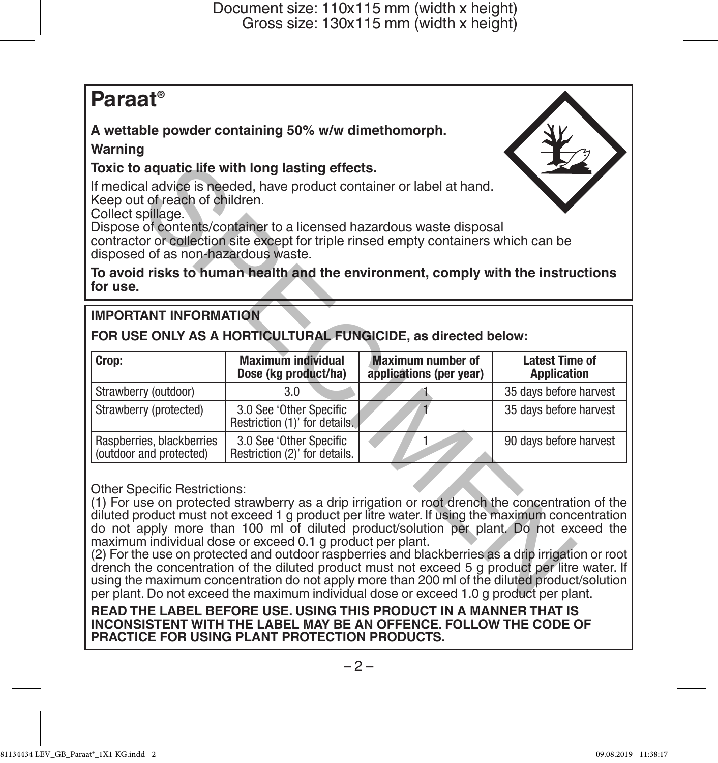# **Paraat®**

# **A wettable powder containing 50% w/w dimethomorph.**

## **Warning**

## **Toxic to aquatic life with long lasting effects.**

# **IMPORTANT INFORMATION**

| Toxic to aquatic life with long lasting effects.                                                                                                                                                                                                                                                                                                                                                                                                                                                                                                                                                                                                                                                             |                                                          |                                                                                         |                                             |
|--------------------------------------------------------------------------------------------------------------------------------------------------------------------------------------------------------------------------------------------------------------------------------------------------------------------------------------------------------------------------------------------------------------------------------------------------------------------------------------------------------------------------------------------------------------------------------------------------------------------------------------------------------------------------------------------------------------|----------------------------------------------------------|-----------------------------------------------------------------------------------------|---------------------------------------------|
| If medical advice is needed, have product container or label at hand.<br>Keep out of reach of children.<br>Collect spillage.<br>Dispose of contents/container to a licensed hazardous waste disposal<br>contractor or collection site except for triple rinsed empty containers which can be<br>disposed of as non-hazardous waste.                                                                                                                                                                                                                                                                                                                                                                          |                                                          |                                                                                         |                                             |
| To avoid risks to human health and the environment, comply with the instructions<br>for use.                                                                                                                                                                                                                                                                                                                                                                                                                                                                                                                                                                                                                 |                                                          |                                                                                         |                                             |
| <b>IMPORTANT INFORMATION</b>                                                                                                                                                                                                                                                                                                                                                                                                                                                                                                                                                                                                                                                                                 |                                                          |                                                                                         |                                             |
| FOR USE ONLY AS A HORTICULTURAL FUNGICIDE, as directed below:                                                                                                                                                                                                                                                                                                                                                                                                                                                                                                                                                                                                                                                |                                                          |                                                                                         |                                             |
| Crop:                                                                                                                                                                                                                                                                                                                                                                                                                                                                                                                                                                                                                                                                                                        | <b>Maximum individual</b><br>Dose (kg product/ha)        | <b>Maximum number of</b><br>applications (per year)                                     | <b>Latest Time of</b><br><b>Application</b> |
| Strawberry (outdoor)                                                                                                                                                                                                                                                                                                                                                                                                                                                                                                                                                                                                                                                                                         | 3.0                                                      |                                                                                         | 35 days before harvest                      |
| Strawberry (protected)                                                                                                                                                                                                                                                                                                                                                                                                                                                                                                                                                                                                                                                                                       | 3.0 See 'Other Specific<br>Restriction (1)' for details. |                                                                                         | 35 days before harvest                      |
| Raspberries, blackberries<br>(outdoor and protected)                                                                                                                                                                                                                                                                                                                                                                                                                                                                                                                                                                                                                                                         | 3.0 See 'Other Specific<br>Restriction (2)' for details. | 1                                                                                       | 90 days before harvest                      |
| <b>Other Specific Restrictions:</b><br>(1) For use on protected strawberry as a drip irrigation or root drench the concentration of the<br>diluted product must not exceed 1 g product per litre water. If using the maximum concentration<br>do not apply more than 100 ml of diluted product/solution per plant. Do not exceed the<br>maximum individual dose or exceed 0.1 g product per plant.<br>(2) For the use on protected and outdoor raspberries and blackberries as a drip irrigation or root<br>drench the concentration of the diluted product must not exceed 5 g product per litre water. If<br>using the maximum concentration do not apply more than 200 ml of the diluted product/solution |                                                          | per plant. Do not exceed the maximum individual dose or exceed 1.0 g product per plant. |                                             |

(2) For the use on protected and outdoor raspberries and blackberries as a drip irrigation or root drench the concentration of the diluted product must not exceed 5 g product per litre water. If using the maximum concentration do not apply more than 200 ml of the diluted product/solution per plant. Do not exceed the maximum individual dose or exceed 1.0 g product per plant.

**READ THE LABEL BEFORE USE. USING THIS PRODUCT IN A MANNER THAT IS INCONSISTENT WITH THE LABEL MAY BE AN OFFENCE. FOLLOW THE CODE OF PRACTICE FOR USING PLANT PROTECTION PRODUCTS.**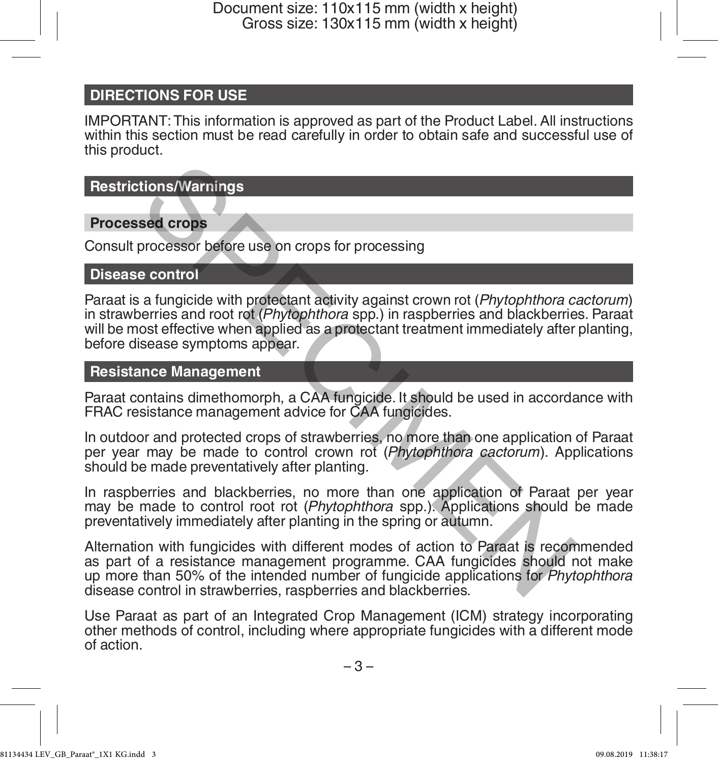# **DIRECTIONS FOR USE**

IMPORTANT: This information is approved as part of the Product Label. All instructions within this section must be read carefully in order to obtain safe and successful use of this product.

**Restrictions/Warnings**

## **Processed crops**

Consult processor before use on crops for processing

#### **Disease control**

Paraat is a fungicide with protectant activity against crown rot (*Phytophthora cactorum*) in strawberries and root rot (*Phytophthora* spp.) in raspberries and blackberries. Paraat will be most effective when applied as a protectant treatment immediately after planting, before disease symptoms appear. **tions/Warnings**<br> **sed crops**<br>
processor before use on crops for processing<br>
a control<br>
a fungicide with protectant activity against crown rot (*Phytophthora* ca<br>
permiss and root rot (*Phytophthora* spp.) in raspberries a

#### **Resistance Management**

Paraat contains dimethomorph, a CAA fungicide. It should be used in accordance with FRAC resistance management advice for CAA fungicides.

In outdoor and protected crops of strawberries, no more than one application of Paraat per year may be made to control crown rot (*Phytophthora cactorum*). Applications should be made preventatively after planting.

In raspberries and blackberries, no more than one application of Paraat per year may be made to control root rot (*Phytophthora* spp.). Applications should be made preventatively immediately after planting in the spring or autumn.

Alternation with fungicides with different modes of action to Paraat is recommended as part of a resistance management programme. CAA fungicides should not make up more than 50% of the intended number of fungicide applications for *Phytophthora* disease control in strawberries, raspberries and blackberries.

Use Paraat as part of an Integrated Crop Management (ICM) strategy incorporating other methods of control, including where appropriate fungicides with a different mode of action.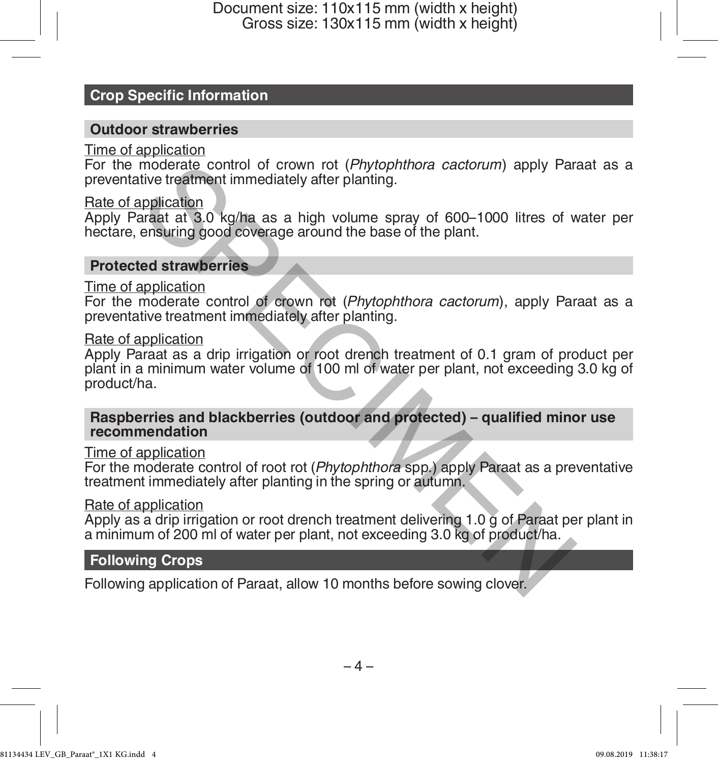# **Crop Specific Information**

#### **Outdoor strawberries**

#### Time of application

For the moderate control of crown rot (*Phytophthora cactorum*) apply Paraat as a preventative treatment immediately after planting.

#### Rate of application

Apply Paraat at 3.0 kg/ha as a high volume spray of 600–1000 litres of water per hectare, ensuring good coverage around the base of the plant.

#### **Protected strawberries**

#### Time of application

For the moderate control of crown rot (*Phytophthora cactorum*), apply Paraat as a preventative treatment immediately after planting.

#### Rate of application

Apply Paraat as a drip irrigation or root drench treatment of 0.1 gram of product per plant in a minimum water volume of 100 ml of water per plant, not exceeding 3.0 kg of product/ha. moderate control of crown rot (*Phytophthora cactorum*) apply Par<br>tive treatment immediately after planting.<br>Diplication areast at 3.0 kg/ha as a high volume spray of 600–1000 litres of v<br>ensuring good coverage around the

**Raspberries and blackberries (outdoor and protected) – qualified minor use recommendation**

#### Time of application

For the moderate control of root rot (*Phytophthora* spp.) apply Paraat as a preventative treatment immediately after planting in the spring or autumn.

#### Rate of application

Apply as a drip irrigation or root drench treatment delivering 1.0 g of Paraat per plant in a minimum of 200 ml of water per plant, not exceeding 3.0 kg of product/ha.

#### **Following Crops**

Following application of Paraat, allow 10 months before sowing clover.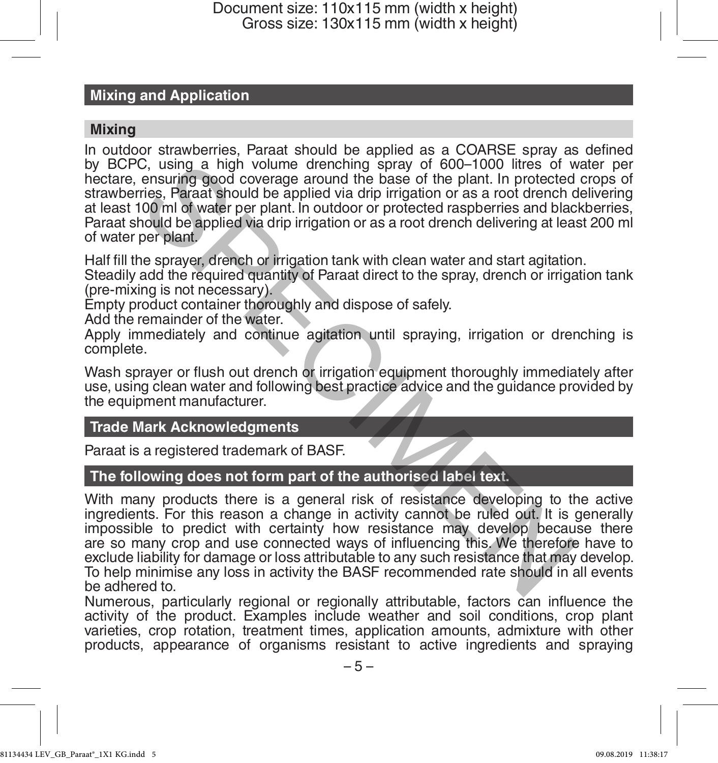# **Mixing and Application**

#### **Mixing**

In outdoor strawberries, Paraat should be applied as a COARSE spray as defined by BCPC, using a high volume drenching spray of 600–1000 litres of water per hectare, ensuring good coverage around the base of the plant. In protected crops of strawberries, Paraat should be applied via drip irrigation or as a root drench delivering at least 100 ml of water per plant. In outdoor or protected raspberries and blackberries, Paraat should be applied via drip irrigation or as a root drench delivering at least 200 ml of water per plant.

Half fill the sprayer, drench or irrigation tank with clean water and start agitation.

Steadily add the required quantity of Paraat direct to the spray, drench or irrigation tank (pre-mixing is not necessary).

Empty product container thoroughly and dispose of safely.

Add the remainder of the water.

Apply immediately and continue agitation until spraying, irrigation or drenching is complete.

Wash sprayer or flush out drench or irrigation equipment thoroughly immediately after use, using clean water and following best practice advice and the guidance provided by the equipment manufacturer.

## **Trade Mark Acknowledgments**

Paraat is a registered trademark of BASF.

## **The following does not form part of the authorised label text.**

With many products there is a general risk of resistance developing to the active ingredients. For this reason a change in activity cannot be ruled out. It is generally impossible to predict with certainty how resistance may develop because there are so many crop and use connected ways of influencing this. We therefore have to exclude liability for damage or loss attributable to any such resistance that may develop. To help minimise any loss in activity the BASF recommended rate should in all events be adhered to. C, using a high volume drenching spray of 600-1000 litres of wearsing a high volume denoted rise, Paraat should be applied via drip irrigation or as a root drench of the part. In protected rise, Paraat should be applied vi

Numerous, particularly regional or regionally attributable, factors can influence the activity of the product. Examples include weather and soil conditions, crop plant varieties, crop rotation, treatment times, application amounts, admixture with other products, appearance of organisms resistant to active ingredients and spraying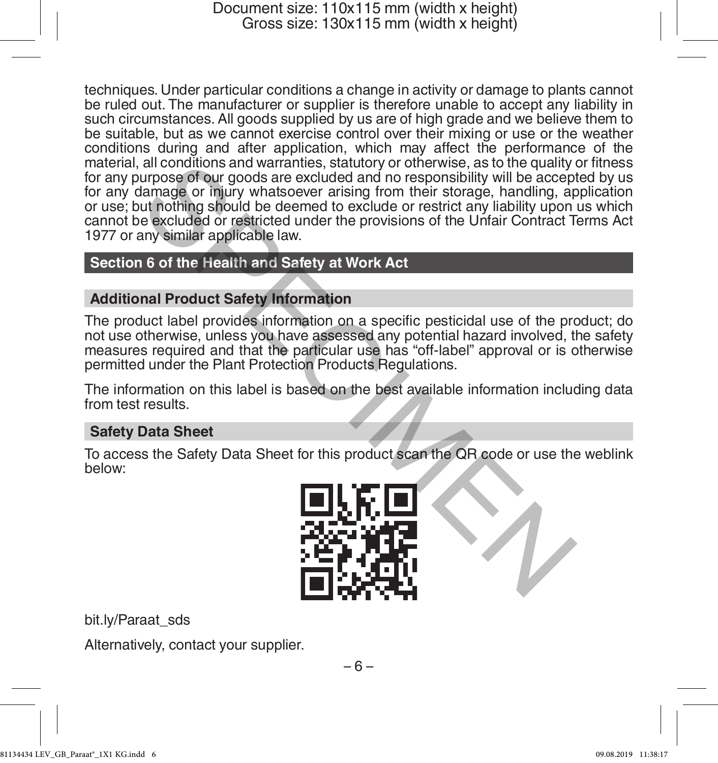techniques. Under particular conditions a change in activity or damage to plants cannot be ruled out. The manufacturer or supplier is therefore unable to accept any liability in such circumstances. All goods supplied by us are of high grade and we believe them to be suitable, but as we cannot exercise control over their mixing or use or the weather conditions during and after application, which may affect the performance of the material, all conditions and warranties, statutory or otherwise, as to the quality or fitness for any purpose of our goods are excluded and no responsibility will be accepted by us for any damage or injury whatsoever arising from their storage, handling, application or use; but nothing should be deemed to exclude or restrict any liability upon us which cannot be excluded or restricted under the provisions of the Unfair Contract Terms Act 1977 or any similar applicable law. all conditions and warranties, statutory or otherwise, as to the quality<br>urpose of our goods are excluded and no responsibility will be accepted<br>amage or injury whatsoever arising from their storage, handling, and<br>the disc

# **Section 6 of the Health and Safety at Work Act**

## **Additional Product Safety Information**

The product label provides information on a specific pesticidal use of the product; do not use otherwise, unless you have assessed any potential hazard involved, the safety measures required and that the particular use has "off-label" approval or is otherwise permitted under the Plant Protection Products Regulations.

The information on this label is based on the best available information including data from test results.

#### **Safety Data Sheet**

To access the Safety Data Sheet for this product scan the QR code or use the weblink below:



bit.ly/Paraat\_sds

Alternatively, contact your supplier.